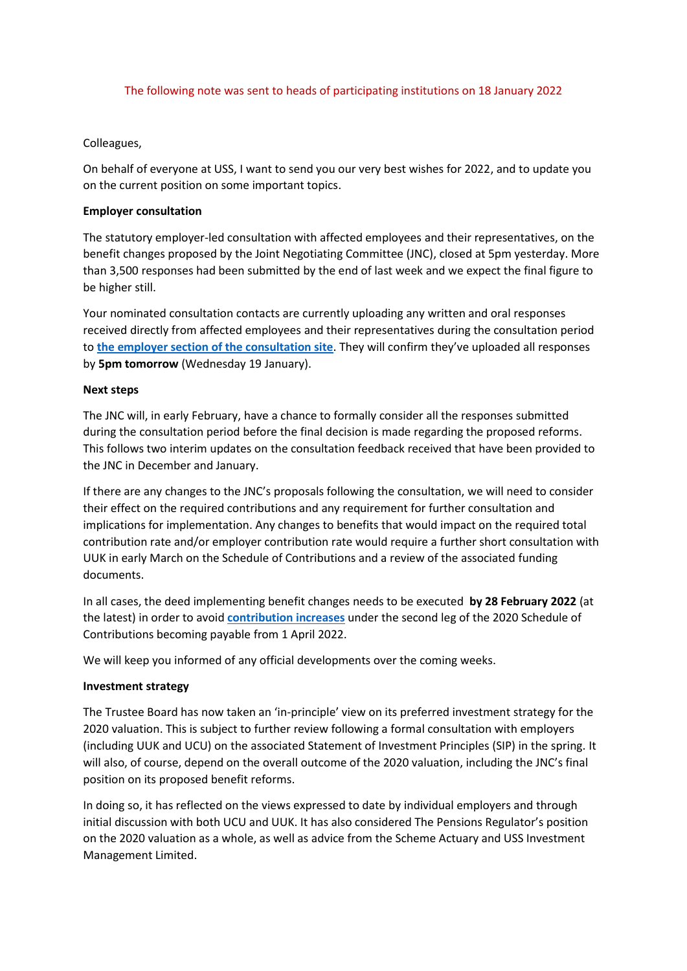### The following note was sent to heads of participating institutions on 18 January 2022

# Colleagues,

On behalf of everyone at USS, I want to send you our very best wishes for 2022, and to update you on the current position on some important topics.

# **Employer consultation**

The statutory employer-led consultation with affected employees and their representatives, on the benefit changes proposed by the Joint Negotiating Committee (JNC), closed at 5pm yesterday. More than 3,500 responses had been submitted by the end of last week and we expect the final figure to be higher still.

Your nominated consultation contacts are currently uploading any written and oral responses received directly from affected employees and their representatives during the consultation period to **[the employer section of the consultation site](https://www.ussconsultation2021.co.uk/consultants/sign_in)**. They will confirm they've uploaded all responses by **5pm tomorrow** (Wednesday 19 January).

### **Next steps**

The JNC will, in early February, have a chance to formally consider all the responses submitted during the consultation period before the final decision is made regarding the proposed reforms. This follows two interim updates on the consultation feedback received that have been provided to the JNC in December and January.

If there are any changes to the JNC's proposals following the consultation, we will need to consider their effect on the required contributions and any requirement for further consultation and implications for implementation. Any changes to benefits that would impact on the required total contribution rate and/or employer contribution rate would require a further short consultation with UUK in early March on the Schedule of Contributions and a review of the associated funding documents.

In all cases, the deed implementing benefit changes needs to be executed **by 28 February 2022** (at the latest) in order to avoid **[contribution increases](https://www.uss.co.uk/about-us/valuation-and-funding/schedule-of-contributions)** under the second leg of the 2020 Schedule of Contributions becoming payable from 1 April 2022.

We will keep you informed of any official developments over the coming weeks.

# **Investment strategy**

The Trustee Board has now taken an 'in-principle' view on its preferred investment strategy for the 2020 valuation. This is subject to further review following a formal consultation with employers (including UUK and UCU) on the associated Statement of Investment Principles (SIP) in the spring. It will also, of course, depend on the overall outcome of the 2020 valuation, including the JNC's final position on its proposed benefit reforms.

In doing so, it has reflected on the views expressed to date by individual employers and through initial discussion with both UCU and UUK. It has also considered The Pensions Regulator's position on the 2020 valuation as a whole, as well as advice from the Scheme Actuary and USS Investment Management Limited.